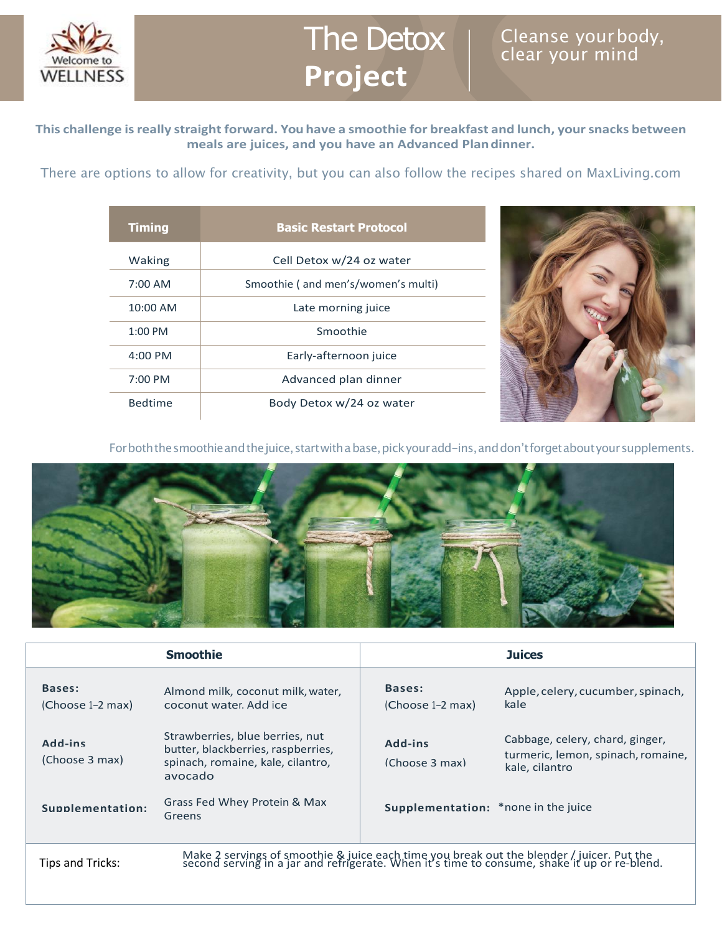

## The Detox **Project**

## Cleanse yourbody, clear your mind

**This challenge isreally straight forward. You have a smoothie for breakfast and lunch, yoursnacks between meals are juices, and you have an Advanced Plandinner.**

There are options to allow for creativity, but you can also follow the recipes shared on MaxLiving.com

| <b>Timing</b>       | <b>Basic Restart Protocol</b>      |  |  |
|---------------------|------------------------------------|--|--|
| Waking              | Cell Detox w/24 oz water           |  |  |
| $7:00$ AM           | Smoothie (and men's/women's multi) |  |  |
| $10:00$ AM          | Late morning juice                 |  |  |
| $1:00 \text{ PM}$   | Smoothie                           |  |  |
| $4:00 \, \text{PM}$ | Early-afternoon juice              |  |  |
| $7:00 \, \text{PM}$ | Advanced plan dinner               |  |  |
| <b>Bedtime</b>      | Body Detox w/24 oz water           |  |  |



For both the smoothie and the juice, start with a base, pick your add-ins, and don't forget about your supplements.



|                            | <b>Smoothie</b>                                                                                                                                                                        |                                            | <b>Juices</b>                                                                           |  |  |
|----------------------------|----------------------------------------------------------------------------------------------------------------------------------------------------------------------------------------|--------------------------------------------|-----------------------------------------------------------------------------------------|--|--|
| Bases:<br>(Choose 1–2 max) | Almond milk, coconut milk, water,<br>coconut water. Add ice                                                                                                                            | Bases:<br>(Choose 1-2 max)                 | Apple, celery, cucumber, spinach,<br>kale                                               |  |  |
| Add-ins<br>(Choose 3 max)  | Strawberries, blue berries, nut<br>butter, blackberries, raspberries,<br>spinach, romaine, kale, cilantro,<br>avocado                                                                  | Add-ins<br>(Choose 3 max)                  | Cabbage, celery, chard, ginger,<br>turmeric, lemon, spinach, romaine,<br>kale, cilantro |  |  |
| Supplementation:           | Grass Fed Whey Protein & Max<br>Greens                                                                                                                                                 | <b>Supplementation:</b> *none in the juice |                                                                                         |  |  |
| Tips and Tricks:           | Make 2 servings of smoothie & juice each time you break out the blender / juicer. Put the second serving in a jar and refrigerate. When it's time to consume, shake it up or re-blend. |                                            |                                                                                         |  |  |